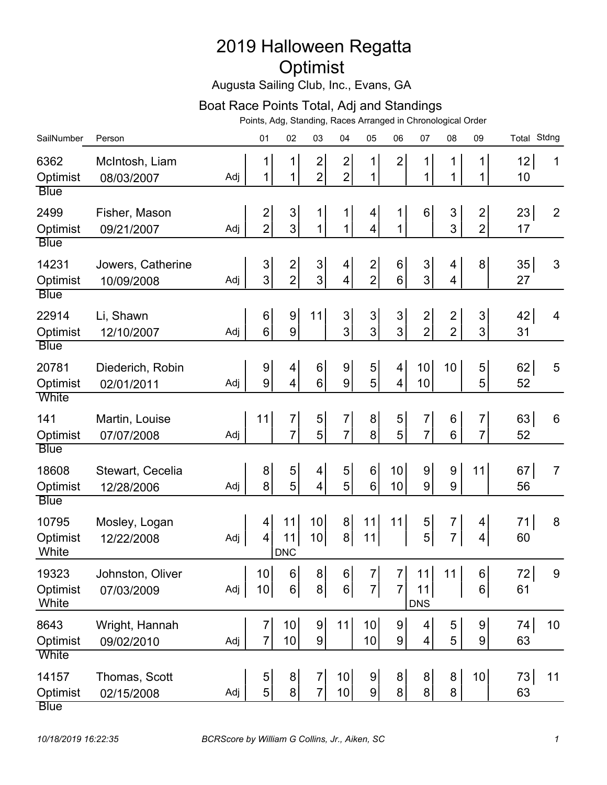## 2019 Halloween Regatta Optimist

Augusta Sailing Club, Inc., Evans, GA

## Boat Race Points Total, Adj and Standings

Points, Adg, Standing, Races Arranged in Chronological Order

| SailNumber                                | Person                          |                     | 01                               | 02                                        | 03                               | 04                                        | 05                                        | 06                                          | 07                                        | 08                               | 09                                | Total Stdng |                 |
|-------------------------------------------|---------------------------------|---------------------|----------------------------------|-------------------------------------------|----------------------------------|-------------------------------------------|-------------------------------------------|---------------------------------------------|-------------------------------------------|----------------------------------|-----------------------------------|-------------|-----------------|
| 6362<br>Optimist<br><b>Blue</b>           | McIntosh, Liam<br>08/03/2007    | Adj                 | 1<br>1                           | 1<br>1                                    | $\overline{c}$<br>$\overline{2}$ | $\overline{\mathbf{c}}$<br>$\overline{2}$ | 1<br>1                                    | $\overline{2}$                              | 1<br>1                                    | 1<br>1                           | $\mathbf 1$<br>$\mathbf 1$        | 12<br>10    | 1               |
| 2499<br>Optimist<br><b>Blue</b>           | Fisher, Mason<br>09/21/2007     | Adj                 | $\overline{2}$<br>$\overline{2}$ | $\mathfrak{S}$<br>3                       | 1<br>1                           | 1<br>1                                    | 4<br>4                                    | 1<br>1                                      | 6                                         | 3<br>3                           | $\overline{2}$<br>$\overline{2}$  | 23<br>17    | $\overline{2}$  |
| 14231<br>Optimist<br><b>Blue</b>          | Jowers, Catherine<br>10/09/2008 | Adj                 | $\mathfrak{S}$<br>3              | $\overline{\mathbf{c}}$<br>$\overline{2}$ | $\ensuremath{\mathsf{3}}$<br>3   | 4<br>$\overline{\mathbf{4}}$              | $\overline{\mathbf{c}}$<br>$\overline{2}$ | $6 \,$<br>6                                 | 3<br>3                                    | 4<br>4                           | 8 <sup>1</sup>                    | 35<br>27    | 3               |
| 22914<br>Optimist                         | Li, Shawn<br>12/10/2007         | Adj                 | $\,6$<br>6                       | $\boldsymbol{9}$<br>$\boldsymbol{9}$      | 11                               | $\mathsf 3$<br>3                          | 3<br>3                                    | $\ensuremath{\mathsf{3}}$<br>$\overline{3}$ | $\overline{\mathbf{c}}$<br>$\overline{2}$ | $\overline{2}$<br>$\overline{2}$ | $\mathbf{3}$<br>$\overline{3}$    | 42<br>31    | 4               |
| <b>Blue</b><br>20781<br>Optimist          | Diederich, Robin<br>02/01/2011  | Adj                 | 9<br>9                           | 4<br>$\overline{4}$                       | 6<br>6                           | 9<br>9                                    | 5<br>5                                    | 4<br>4                                      | 10<br>10                                  | 10                               | 5<br>5                            | 62<br>52    | 5               |
| White<br>141<br>Optimist                  | Martin, Louise<br>07/07/2008    | Adj                 | 11                               | 7<br>7                                    | 5<br>5                           | $\overline{7}$<br>$\overline{7}$          | 8<br>8                                    | 5<br>5                                      | $\overline{7}$<br>$\overline{7}$          | 6<br>6                           | $\overline{7}$<br>$\overline{7}$  | 63 <br>52   | 6               |
| <b>Blue</b><br>18608<br>Optimist          | Stewart, Cecelia<br>12/28/2006  | Adj                 | 8<br>8                           | 5<br>5                                    | 4<br>$\overline{\mathbf{4}}$     | 5<br>5 <sup>1</sup>                       | 6<br>6                                    | 10<br>10                                    | 9<br>9                                    | $\boldsymbol{9}$<br>9            | 11                                | 67<br>56    | $\overline{7}$  |
| <b>Blue</b><br>10795<br>Optimist<br>White | Mosley, Logan<br>12/22/2008     | Adj                 | 4<br>4                           | 11<br>11<br><b>DNC</b>                    | 10<br>10                         | 8 <sup>1</sup><br>$\bf{8}$                | 11<br>11                                  | 11                                          | 5<br>5                                    | 7<br>$\overline{7}$              | 4 <sup>1</sup><br>$\vert 4 \vert$ | 71<br>60    | 8               |
| 19323<br>Optimist<br>White                | Johnston, Oliver<br>07/03/2009  | $\mathbf{L}$<br>Adj | 10                               | $10$ 6<br>$6\vert$                        | 8 <sup>1</sup>                   | 8 6 <br>$6\vert$                          | 7<br>$\overline{7}$                       | $\overline{7}$                              | $7$ 11<br>11<br><b>DNS</b>                | 11                               | $6\vert$<br>6 <sup>1</sup>        | 72<br>61    | 9               |
| 8643<br>Optimist<br>White                 | Wright, Hannah<br>09/02/2010    | Adj                 | $\overline{7}$<br>$\overline{7}$ | 10<br>10 <sup>1</sup>                     | $\boldsymbol{9}$<br>9            | 11                                        | 10<br>10 <sup>1</sup>                     | $\overline{9}$<br>$\overline{9}$            | 4<br>4                                    | 5<br>5                           | $\overline{9}$<br>9 <sup>1</sup>  | 74<br>63    | 10 <sup>1</sup> |
| 14157<br>Optimist<br><b>Blue</b>          | Thomas, Scott<br>02/15/2008     | Adj                 | $\sqrt{5}$<br>5                  | $\bf{8}$<br>$\bf{8}$                      | $\overline{7}$<br>$\overline{7}$ | 10<br>10                                  | 9<br> 9                                   | 8 <sup>1</sup><br>8 <sup>1</sup>            | 8 <sup>1</sup><br>8 <sup>1</sup>          | 8<br>8                           | 10 <sub>l</sub>                   | 73<br>63    | 11              |